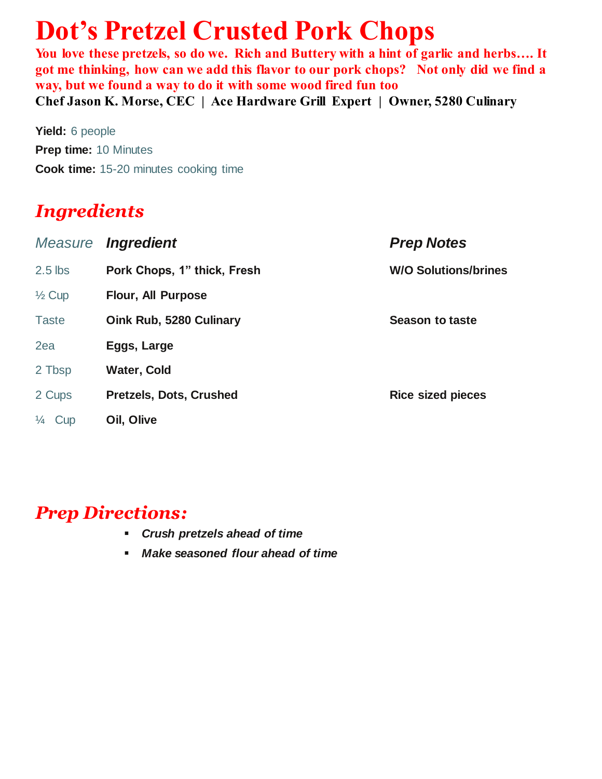# **Dot's Pretzel Crusted Pork Chops**

You love these pretzels, so do we. Rich and Buttery with a hint of garlic and herbs.... It **got me thinking, how can we add this flavor to our pork chops? Not only did we find a way, but we found a way to do it with some wood fired fun too Chef Jason K. Morse, CEC | Ace Hardware Grill Expert | Owner, 5280 Culinary**

**Yield:** 6 people **Prep time:** 10 Minutes **Cook time:** 15-20 minutes cooking time

## *Ingredients*

| Measure           | <i><b>Ingredient</b></i>    | <b>Prep Notes</b>           |
|-------------------|-----------------------------|-----------------------------|
| $2.5$ lbs         | Pork Chops, 1" thick, Fresh | <b>W/O Solutions/brines</b> |
| $\frac{1}{2}$ Cup | <b>Flour, All Purpose</b>   |                             |
| <b>Taste</b>      | Oink Rub, 5280 Culinary     | <b>Season to taste</b>      |
| 2ea               | Eggs, Large                 |                             |
| 2 Tbsp            | <b>Water, Cold</b>          |                             |
| 2 Cups            | Pretzels, Dots, Crushed     | <b>Rice sized pieces</b>    |
| $\frac{1}{4}$ Cup | Oil, Olive                  |                             |

### *Prep Directions:*

- *Crush pretzels ahead of time*
- *Make seasoned flour ahead of time*